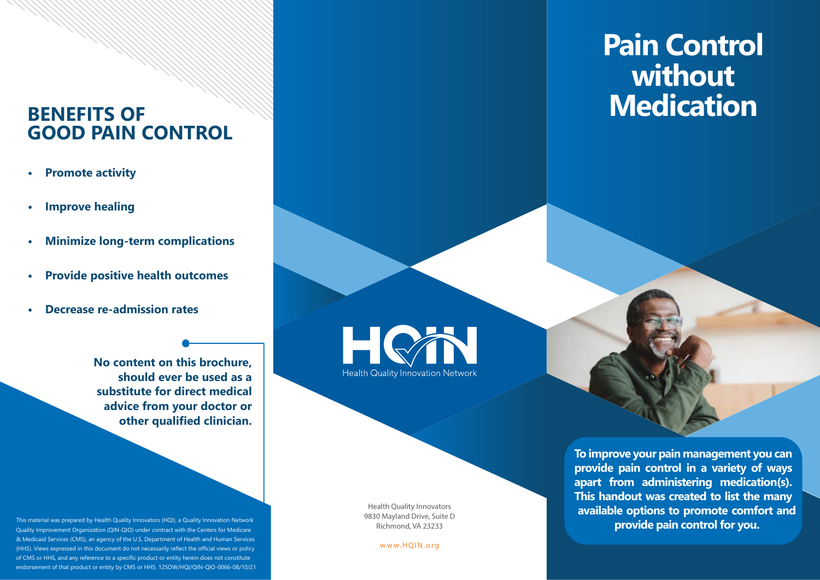## **BENEFITS OF GOOD PAIN CONTROL**

- **• Promote activity**
- **• Improve healing**
- **• Minimize long-term complications**
- **• Provide positive health outcomes**
- **• Decrease re-admission rates**

**No content on this brochure, should ever be used as a substitute for direct medical advice from your doctor or other qualified clinician.** 

- This material was prepared by Health Quality Innovators (HQI), a Quality Innovation Network Quality Improvement Organization (QIN-QIO) under contract with the Centers for Medicare & Medicaid Services (CMS), an agency of the U.S. Department of Health and Human Services (HHS). Views expressed in this document do not necessarily reflect the official views or policy of CMS or HHS, and any reference to a specific product or entity herein does not constitute endorsement of that product or entity by CMS or HHS. 12SOW/HQI/QIN-QIO-0066-08/10/21 **Health Quality Innovation Network** 

Health Quality Innovators 9830 Mayland Drive, Suite D Richmond, VA 23233

<www.HQIN.org>

## **Pain Control without Medication**

**To improve your pain management you can provide pain control in a variety of ways apart from administering medication(s). This handout was created to list the many available options to promote comfort and provide pain control for you.**